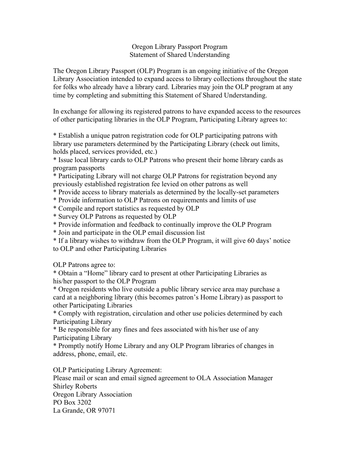## Oregon Library Passport Program Statement of Shared Understanding

The Oregon Library Passport (OLP) Program is an ongoing initiative of the Oregon Library Association intended to expand access to library collections throughout the state for folks who already have a library card. Libraries may join the OLP program at any time by completing and submitting this Statement of Shared Understanding.

In exchange for allowing its registered patrons to have expanded access to the resources of other participating libraries in the OLP Program, Participating Library agrees to:

\* Establish a unique patron registration code for OLP participating patrons with library use parameters determined by the Participating Library (check out limits, holds placed, services provided, etc.)

\* Issue local library cards to OLP Patrons who present their home library cards as program passports

\* Participating Library will not charge OLP Patrons for registration beyond any previously established registration fee levied on other patrons as well

\* Provide access to library materials as determined by the locally-set parameters

\* Provide information to OLP Patrons on requirements and limits of use

\* Compile and report statistics as requested by OLP

\* Survey OLP Patrons as requested by OLP

\* Provide information and feedback to continually improve the OLP Program

\* Join and participate in the OLP email discussion list

\* If a library wishes to withdraw from the OLP Program, it will give 60 days' notice to OLP and other Participating Libraries

OLP Patrons agree to:

\* Obtain a "Home" library card to present at other Participating Libraries as his/her passport to the OLP Program

\* Oregon residents who live outside a public library service area may purchase a card at a neighboring library (this becomes patron's Home Library) as passport to other Participating Libraries

\* Comply with registration, circulation and other use policies determined by each Participating Library

\* Be responsible for any fines and fees associated with his/her use of any Participating Library

\* Promptly notify Home Library and any OLP Program libraries of changes in address, phone, email, etc.

OLP Participating Library Agreement:

Please mail or scan and email signed agreement to OLA Association Manager Shirley Roberts Oregon Library Association PO Box 3202 La Grande, OR 97071